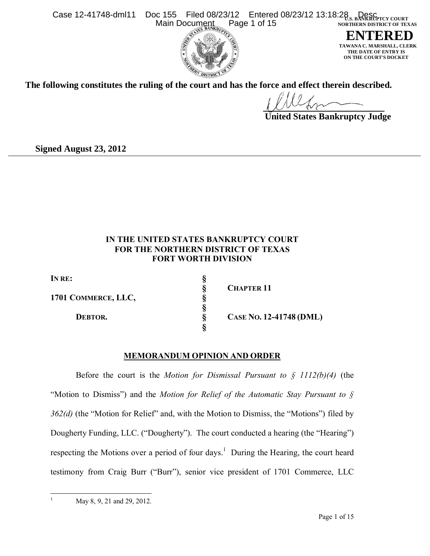



 $CLERK$  **THE DATE OF ENTRY IS ON THE COURT'S DOCKET**

**The following constitutes the ruling of the court and has the force and effect therein described.**

 **United States Bankruptcy Judge**

**Signed August 23, 2012**

# **IN THE UNITED STATES BANKRUPTCY COURT FOR THE NORTHERN DISTRICT OF TEXAS FORT WORTH DIVISION**

| In re:              |  |
|---------------------|--|
|                     |  |
| 1701 COMMERCE, LLC, |  |
|                     |  |
| DEBTOR.             |  |
|                     |  |

**§ CHAPTER 11**

 $C$ ASE **NO.** 12-41748 **(DML)** 

# **MEMORANDUM OPINION AND ORDER**

**§**

Before the court is the *Motion for Dismissal Pursuant to § 1112(b)(4)* (the "Motion to Dismiss") and the *Motion for Relief of the Automatic Stay Pursuant to § 362(d)* (the "Motion for Relief" and, with the Motion to Dismiss, the "Motions") filed by Dougherty Funding, LLC. ("Dougherty"). The court conducted a hearing (the "Hearing") respecting the Motions over a period of four days.<sup>[1](#page-0-0)</sup> During the Hearing, the court heard testimony from Craig Burr ("Burr"), senior vice president of 1701 Commerce, LLC

<span id="page-0-0"></span> $1\,$ 

May 8, 9, 21 and 29, 2012.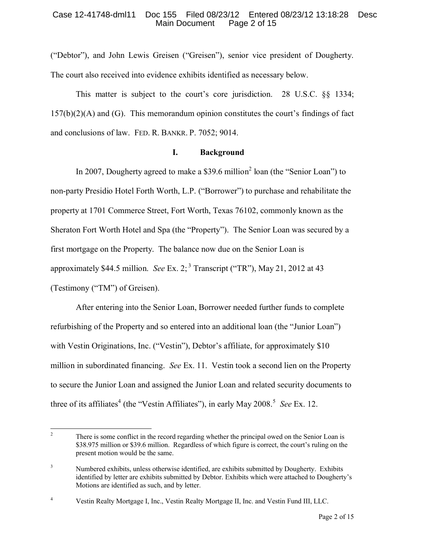("Debtor"), and John Lewis Greisen ("Greisen"), senior vice president of Dougherty. The court also received into evidence exhibits identified as necessary below.

This matter is subject to the court's core jurisdiction. 28 U.S.C. §§ 1334;  $157(b)(2)(A)$  and  $(G)$ . This memorandum opinion constitutes the court's findings of fact and conclusions of law. FED. R. BANKR. P. 7052; 9014.

### **I. Background**

In [2](#page-1-0)007, Dougherty agreed to make a \$39.6 million<sup>2</sup> loan (the "Senior Loan") to non-party Presidio Hotel Forth Worth, L.P. ("Borrower") to purchase and rehabilitate the property at 1701 Commerce Street, Fort Worth, Texas 76102, commonly known as the Sheraton Fort Worth Hotel and Spa (the "Property"). The Senior Loan was secured by a first mortgage on the Property. The balance now due on the Senior Loan is approximately \$44.5 million. *See* Ex. 2;<sup>[3](#page-1-1)</sup> Transcript ("TR"), May 21, 2012 at 43 (Testimony ("TM") of Greisen).

After entering into the Senior Loan, Borrower needed further funds to complete refurbishing of the Property and so entered into an additional loan (the "Junior Loan") with Vestin Originations, Inc. ("Vestin"), Debtor's affiliate, for approximately \$10 million in subordinated financing. *See* Ex. 11. Vestin took a second lien on the Property to secure the Junior Loan and assigned the Junior Loan and related security documents to three of its affiliates<sup>[4](#page-1-2)</sup> (the "Vestin Affiliates"), in early May 2008.<sup>[5](#page-1-3)</sup> See Ex. 12.

<span id="page-1-3"></span><span id="page-1-0"></span> $\overline{c}$ There is some conflict in the record regarding whether the principal owed on the Senior Loan is \$38.975 million or \$39.6 million. Regardless of which figure is correct, the court's ruling on the present motion would be the same.

<span id="page-1-1"></span><sup>&</sup>lt;sup>3</sup> Numbered exhibits, unless otherwise identified, are exhibits submitted by Dougherty. Exhibits identified by letter are exhibits submitted by Debtor. Exhibits which were attached to Dougherty's Motions are identified as such, and by letter.

<span id="page-1-2"></span><sup>4</sup> Vestin Realty Mortgage I, Inc., Vestin Realty Mortgage II, Inc. and Vestin Fund III, LLC.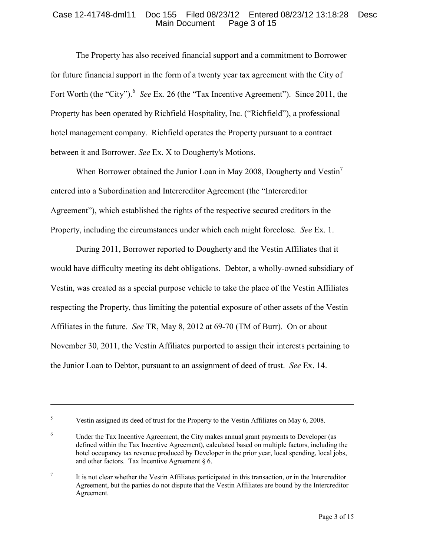The Property has also received financial support and a commitment to Borrower for future financial support in the form of a twenty year tax agreement with the City of Fort Worth (the "City").<sup>[6](#page-2-0)</sup> See Ex. 26 (the "Tax Incentive Agreement"). Since 2011, the Property has been operated by Richfield Hospitality, Inc. ("Richfield"), a professional hotel management company. Richfield operates the Property pursuant to a contract between it and Borrower. *See* Ex. X to Dougherty's Motions.

When Borrower obtained the Junior Loan in May 2008, Dougherty and Vestin<sup>[7](#page-2-1)</sup> entered into a Subordination and Intercreditor Agreement (the "Intercreditor Agreement"), which established the rights of the respective secured creditors in the Property, including the circumstances under which each might foreclose. *See* Ex. 1.

During 2011, Borrower reported to Dougherty and the Vestin Affiliates that it would have difficulty meeting its debt obligations. Debtor, a wholly-owned subsidiary of Vestin, was created as a special purpose vehicle to take the place of the Vestin Affiliates respecting the Property, thus limiting the potential exposure of other assets of the Vestin Affiliates in the future. *See* TR, May 8, 2012 at 69-70 (TM of Burr). On or about November 30, 2011, the Vestin Affiliates purported to assign their interests pertaining to the Junior Loan to Debtor, pursuant to an assignment of deed of trust. *See* Ex. 14.

 $\overline{a}$ 

<sup>&</sup>lt;sup>5</sup> Vestin assigned its deed of trust for the Property to the Vestin Affiliates on May 6, 2008.

<span id="page-2-0"></span><sup>&</sup>lt;sup>6</sup> Under the Tax Incentive Agreement, the City makes annual grant payments to Developer (as defined within the Tax Incentive Agreement), calculated based on multiple factors, including the hotel occupancy tax revenue produced by Developer in the prior year, local spending, local jobs, and other factors. Tax Incentive Agreement § 6.

<span id="page-2-1"></span><sup>7</sup> It is not clear whether the Vestin Affiliates participated in this transaction, or in the Intercreditor Agreement, but the parties do not dispute that the Vestin Affiliates are bound by the Intercreditor Agreement.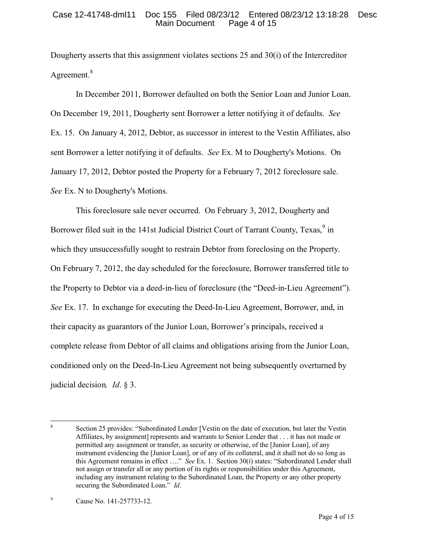Dougherty asserts that this assignment violates sections 25 and 30(i) of the Intercreditor Agreement.<sup>[8](#page-3-0)</sup>

In December 2011, Borrower defaulted on both the Senior Loan and Junior Loan. On December 19, 2011, Dougherty sent Borrower a letter notifying it of defaults. *See* Ex. 15. On January 4, 2012, Debtor, as successor in interest to the Vestin Affiliates, also sent Borrower a letter notifying it of defaults. *See* Ex. M to Dougherty's Motions. On January 17, 2012, Debtor posted the Property for a February 7, 2012 foreclosure sale. *See* Ex. N to Dougherty's Motions.

This foreclosure sale never occurred. On February 3, 2012, Dougherty and Borrower filed suit in the 141st Judicial District Court of Tarrant County, Texas, <sup>[9](#page-3-1)</sup> in which they unsuccessfully sought to restrain Debtor from foreclosing on the Property. On February 7, 2012, the day scheduled for the foreclosure, Borrower transferred title to the Property to Debtor via a deed-in-lieu of foreclosure (the "Deed-in-Lieu Agreement"). *See* Ex. 17. In exchange for executing the Deed-In-Lieu Agreement, Borrower, and, in their capacity as guarantors of the Junior Loan, Borrower's principals, received a complete release from Debtor of all claims and obligations arising from the Junior Loan, conditioned only on the Deed-In-Lieu Agreement not being subsequently overturned by judicial decision*. Id*. § 3.

<span id="page-3-0"></span> $\overline{a}$ 8 Section 25 provides: "Subordinated Lender [Vestin on the date of execution, but later the Vestin Affiliates, by assignment] represents and warrants to Senior Lender that . . . it has not made or permitted any assignment or transfer, as security or otherwise, of the [Junior Loan], of any instrument evidencing the [Junior Loan], or of any of its collateral, and it shall not do so long as this Agreement remains in effect …." *See* Ex. 1. Section 30(i) states: "Subordinated Lender shall not assign or transfer all or any portion of its rights or responsibilities under this Agreement, including any instrument relating to the Subordinated Loan, the Property or any other property securing the Subordinated Loan." *Id*.

<span id="page-3-1"></span><sup>9</sup> Cause No. 141-257733-12.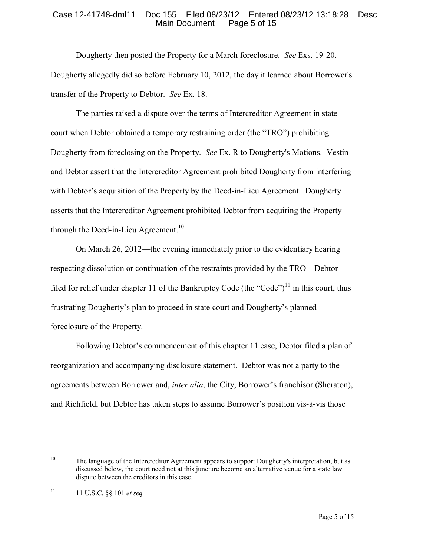Dougherty then posted the Property for a March foreclosure. *See* Exs. 19-20. Dougherty allegedly did so before February 10, 2012, the day it learned about Borrower's transfer of the Property to Debtor. *See* Ex. 18.

The parties raised a dispute over the terms of Intercreditor Agreement in state court when Debtor obtained a temporary restraining order (the "TRO") prohibiting Dougherty from foreclosing on the Property. *See* Ex. R to Dougherty's Motions. Vestin and Debtor assert that the Intercreditor Agreement prohibited Dougherty from interfering with Debtor's acquisition of the Property by the Deed-in-Lieu Agreement. Dougherty asserts that the Intercreditor Agreement prohibited Debtor from acquiring the Property through the Deed-in-Lieu Agreement.<sup>[10](#page-4-0)</sup>

On March 26, 2012—the evening immediately prior to the evidentiary hearing respecting dissolution or continuation of the restraints provided by the TRO—Debtor filed for relief under chapter [11](#page-4-1) of the Bankruptcy Code (the "Code")<sup>11</sup> in this court, thus frustrating Dougherty's plan to proceed in state court and Dougherty's planned foreclosure of the Property.

Following Debtor's commencement of this chapter 11 case, Debtor filed a plan of reorganization and accompanying disclosure statement. Debtor was not a party to the agreements between Borrower and, *inter alia*, the City, Borrower's franchisor (Sheraton), and Richfield, but Debtor has taken steps to assume Borrower's position vis-à-vis those

<span id="page-4-0"></span> $10<sup>10</sup>$ The language of the Intercreditor Agreement appears to support Dougherty's interpretation, but as discussed below, the court need not at this juncture become an alternative venue for a state law dispute between the creditors in this case.

<span id="page-4-1"></span><sup>11</sup> 11 U.S.C. §§ 101 *et seq.*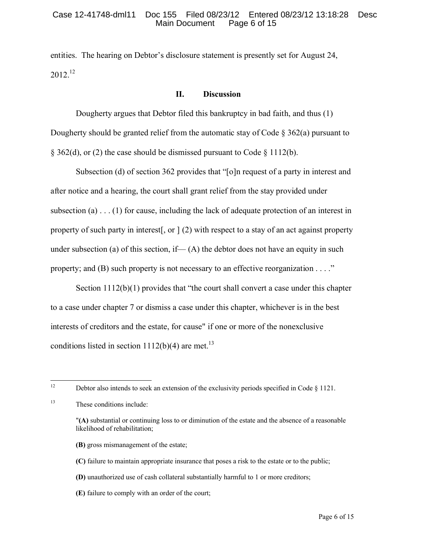entities. The hearing on Debtor's disclosure statement is presently set for August 24, 2012.[12](#page-5-0)

## **II. Discussion**

Dougherty argues that Debtor filed this bankruptcy in bad faith, and thus (1) Dougherty should be granted relief from the automatic stay of Code  $\S 362(a)$  pursuant to  $\S$  362(d), or (2) the case should be dismissed pursuant to Code  $\S$  1112(b).

Subsection (d) of section 362 provides that "[o]n request of a party in interest and after notice and a hearing, the court shall grant relief from the stay provided under subsection (a)  $\dots$  (1) for cause, including the lack of adequate protection of an interest in property of such party in interest[, or ] (2) with respect to a stay of an act against property under subsection (a) of this section, if— $(A)$  the debtor does not have an equity in such property; and  $(B)$  such property is not necessary to an effective reorganization  $\dots$ ."

Section 1112(b)(1) provides that "the court shall convert a case under this chapter to a case under chapter 7 or dismiss a case under this chapter, whichever is in the best interests of creditors and the estate, for cause" if one or more of the nonexclusive conditions listed in section  $1112(b)(4)$  are met.<sup>[13](#page-5-1)</sup>

- **(B)** gross mismanagement of the estate;
- **(C)** failure to maintain appropriate insurance that poses a risk to the estate or to the public;
- **(D)** unauthorized use of cash collateral substantially harmful to 1 or more creditors;
- **(E)** failure to comply with an order of the court;

<span id="page-5-2"></span><span id="page-5-0"></span> $12 \,$ Debtor also intends to seek an extension of the exclusivity periods specified in Code  $\S 1121$ .

<span id="page-5-1"></span><sup>13</sup> These conditions include:

<sup>&</sup>quot;**(A)** substantial or continuing loss to or diminution of the estate and the absence of a reasonable likelihood of rehabilitation;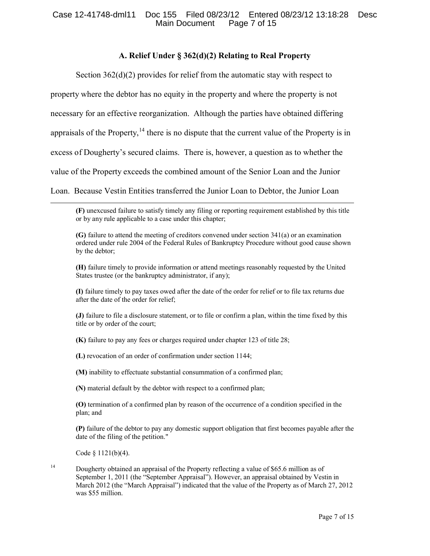# **A. Relief Under § 362(d)(2) Relating to Real Property**

Section 362(d)(2) provides for relief from the automatic stay with respect to property where the debtor has no equity in the property and where the property is not necessary for an effective reorganization. Although the parties have obtained differing appraisals of the Property,  $14$  there is no dispute that the current value of the Property is in excess of Dougherty's secured claims. There is, however, a question as to whether the value of the Property exceeds the combined amount of the Senior Loan and the Junior Loan. Because Vestin Entities transferred the Junior Loan to Debtor, the Junior Loan

**(F)** unexcused failure to satisfy timely any filing or reporting requirement established by this title or by any rule applicable to a case under this chapter;

**(G)** failure to attend the meeting of creditors convened unde[r section 341\(a\)](http://web2.westlaw.com/find/default.wl?mt=Westlaw&db=1000546&docname=11USCAS341&rp=%2ffind%2fdefault.wl&findtype=L&ordoc=1825538&tc=-1&vr=2.0&fn=_top&sv=Split&tf=-1&referencepositiontype=T&pbc=DA419AFD&referenceposition=SP%3b8b3b0000958a4&rs=WLW12.07) or an examination ordered under [rule 2004 of the Federal Rules of Bankruptcy Procedure](http://web2.westlaw.com/find/default.wl?mt=Westlaw&db=1000611&docname=USFRBPR2004&rp=%2ffind%2fdefault.wl&findtype=L&ordoc=1825538&tc=-1&vr=2.0&fn=_top&sv=Split&tf=-1&pbc=DA419AFD&rs=WLW12.07) without good cause shown by the debtor;

**(H)** failure timely to provide information or attend meetings reasonably requested by the United States trustee (or the bankruptcy administrator, if any);

**(I)** failure timely to pay taxes owed after the date of the order for relief or to file tax returns due after the date of the order for relief;

**(J)** failure to file a disclosure statement, or to file or confirm a plan, within the time fixed by this title or by order of the court;

**(K)** failure to pay any fees or charges required under chapter 123 of title 28;

**(L)** revocation of an order of confirmation under [section 1144;](http://web2.westlaw.com/find/default.wl?mt=Westlaw&db=1000546&docname=11USCAS1144&rp=%2ffind%2fdefault.wl&findtype=L&ordoc=1825538&tc=-1&vr=2.0&fn=_top&sv=Split&tf=-1&pbc=DA419AFD&rs=WLW12.07)

**(M)** inability to effectuate substantial consummation of a confirmed plan;

**(N)** material default by the debtor with respect to a confirmed plan;

**(O)** termination of a confirmed plan by reason of the occurrence of a condition specified in the plan; and

**(P)** failure of the debtor to pay any domestic support obligation that first becomes payable after the date of the filing of the petition."

Code  $§$  1121(b)(4).

 $\overline{a}$ 

<span id="page-6-0"></span><sup>14</sup> Dougherty obtained an appraisal of the Property reflecting a value of \$65.6 million as of September 1, 2011 (the "September Appraisal"). However, an appraisal obtained by Vestin in March 2012 (the "March Appraisal") indicated that the value of the Property as of March 27, 2012 was \$55 million.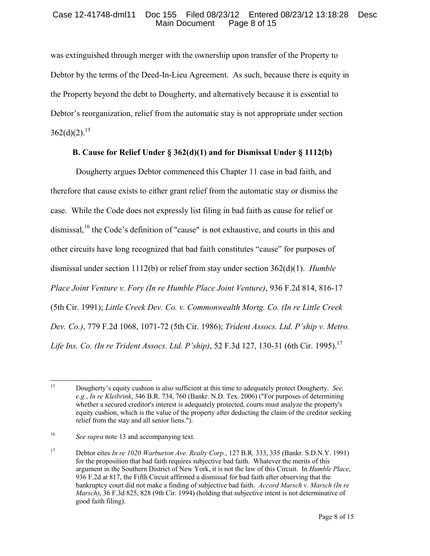was extinguished through merger with the ownership upon transfer of the Property to Debtor by the terms of the Deed-In-Lieu Agreement. As such, because there is equity in the Property beyond the debt to Dougherty, and alternatively because it is essential to Debtor's reorganization, relief from the automatic stay is not appropriate under section  $362(d)(2)$ <sup>[15](#page-7-0)</sup>

# **B. Cause for Relief Under § 362(d)(1) and for Dismissal Under § 1112(b)**

Dougherty argues Debtor commenced this Chapter 11 case in bad faith, and therefore that cause exists to either grant relief from the automatic stay or dismiss the case. While the Code does not expressly list filing in bad faith as cause for relief or dismissal,<sup>[16](#page-7-1)</sup> the Code's definition of "cause" is not exhaustive, and courts in this and other circuits have long recognized that bad faith constitutes "cause" for purposes of dismissal under section 1112(b) or relief from stay under section 362(d)(1). *Humble Place Joint Venture v. Fory (In re Humble Place Joint Venture)*, 936 F.2d 814, 816-17 (5th Cir. 1991); *Little Creek Dev. Co. v. Commonwealth Mortg. Co. (In re Little Creek Dev. Co.)*, 779 F.2d 1068, 1071-72 (5th Cir. 1986); *Trident Assocs. Ltd. P'ship v. Metro. Life Ins. Co. (In re Trident Assocs. Ltd. P'ship)*, 52 F.3d 127, 130-31 (6th Cir. 1995).<sup>[17](#page-7-2)</sup>

<span id="page-7-0"></span> $15\,$ <sup>15</sup> Dougherty's equity cushion is also sufficient at this time to adequately protect Dougherty. *See, e.g.*, *In re Kleibrink*, 346 B.R. 734, 760 (Bankr. N.D. Tex. 2006) ("For purposes of determining whether a secured creditor's interest is adequately protected, courts must analyze the property's equity cushion, which is the value of the property after deducting the claim of the creditor seeking relief from the stay and all senior liens.").

<span id="page-7-1"></span><sup>&</sup>lt;sup>16</sup> *See supra* not[e 13](#page-5-2) and accompanying text.

<span id="page-7-2"></span><sup>17</sup> Debtor cites *In re 1020 Warburton Ave. Realty Corp.*, 127 B.R. 333, 335 (Bankr. S.D.N.Y. 1991) for the proposition that bad faith requires subjective bad faith. Whatever the merits of this argument in the Southern District of New York, it is not the law of this Circuit. In *Humble Place*, 936 F.2d at 817, the Fifth Circuit affirmed a dismissal for bad faith after observing that the bankruptcy court did not make a finding of subjective bad faith. *Accord Marsch v. Marsch (In re Marsch)*, 36 F.3d 825, 828 (9th Cir. 1994) (holding that subjective intent is not determinative of good faith filing).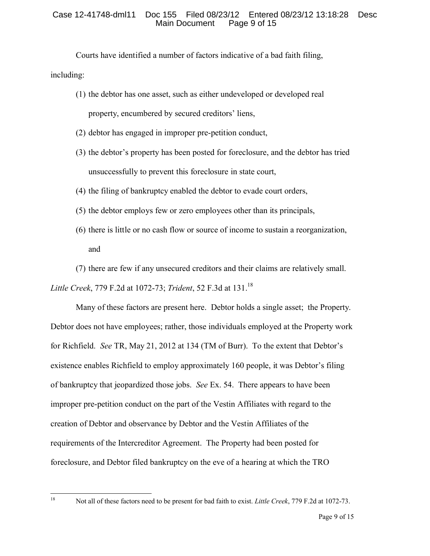Courts have identified a number of factors indicative of a bad faith filing, including:

(1) the debtor has one asset, such as either undeveloped or developed real

property, encumbered by secured creditors' liens,

- (2) debtor has engaged in improper pre-petition conduct,
- (3) the debtor's property has been posted for foreclosure, and the debtor has tried unsuccessfully to prevent this foreclosure in state court,
- (4) the filing of bankruptcy enabled the debtor to evade court orders,
- (5) the debtor employs few or zero employees other than its principals,
- (6) there is little or no cash flow or source of income to sustain a reorganization, and
- (7) there are few if any unsecured creditors and their claims are relatively small.

*Little Creek*, 779 F.2d at 1072-73; *Trident*, 52 F.3d at 131.[18](#page-8-0)

Many of these factors are present here. Debtor holds a single asset; the Property. Debtor does not have employees; rather, those individuals employed at the Property work for Richfield. *See* TR, May 21, 2012 at 134 (TM of Burr). To the extent that Debtor's existence enables Richfield to employ approximately 160 people, it was Debtor's filing of bankruptcy that jeopardized those jobs. *See* Ex. 54. There appears to have been improper pre-petition conduct on the part of the Vestin Affiliates with regard to the creation of Debtor and observance by Debtor and the Vestin Affiliates of the requirements of the Intercreditor Agreement. The Property had been posted for foreclosure, and Debtor filed bankruptcy on the eve of a hearing at which the TRO

<span id="page-8-0"></span> $18\,$ 

<sup>18</sup> Not all of these factors need to be present for bad faith to exist. *Little Creek*, 779 F.2d at 1072-73.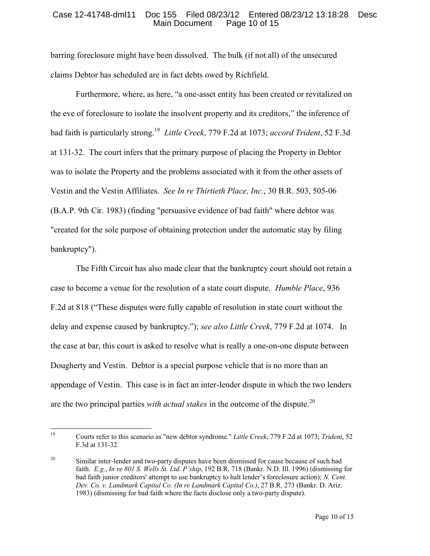barring foreclosure might have been dissolved. The bulk (if not all) of the unsecured claims Debtor has scheduled are in fact debts owed by Richfield.

Furthermore, where, as here, "a one-asset entity has been created or revitalized on the eve of foreclosure to isolate the insolvent property and its creditors," the inference of bad faith is particularly strong. [19](#page-9-0) *Little Creek*, 779 F.2d at 1073; *accord Trident*, 52 F.3d at 131-32. The court infers that the primary purpose of placing the Property in Debtor was to isolate the Property and the problems associated with it from the other assets of Vestin and the Vestin Affiliates. *See In re Thirtieth Place, Inc.*, 30 B.R. 503, 505-06 (B.A.P. 9th Cir. 1983) (finding "persuasive evidence of bad faith" where debtor was "created for the sole purpose of obtaining protection under the automatic stay by filing bankruptcy").

The Fifth Circuit has also made clear that the bankruptcy court should not retain a case to become a venue for the resolution of a state court dispute. *Humble Place*, 936 F.2d at 818 ("These disputes were fully capable of resolution in state court without the delay and expense caused by bankruptcy."); *see also Little Creek*, 779 F.2d at 1074. In the case at bar, this court is asked to resolve what is really a one-on-one dispute between Dougherty and Vestin. Debtor is a special purpose vehicle that is no more than an appendage of Vestin. This case is in fact an inter-lender dispute in which the two lenders are the two principal parties *with actual stakes* in the outcome of the dispute.<sup>[20](#page-9-1)</sup>

<span id="page-9-0"></span><sup>19</sup> <sup>19</sup> Courts refer to this scenario as "new debtor syndrome." *Little Creek*, 779 F.2d at 1073; *Trident*, 52 F.3d at 131-32.

<span id="page-9-1"></span><sup>&</sup>lt;sup>20</sup> Similar inter-lender and two-party disputes have been dismissed for cause because of such bad faith. *E.g.*, *In re 801 S. Wells St. Ltd. P'ship*, 192 B.R. 718 (Bankr. N.D. Ill. 1996) (dismissing for bad faith junior creditors' attempt to use bankruptcy to halt lender's foreclosure action); *N. Cent. Dev. Co. v. Landmark Capital Co. (In re Landmark Capital Co.)*, 27 B.R. 273 (Bankr. D. Ariz. 1983) (dismissing for bad faith where the facts disclose only a two-party dispute).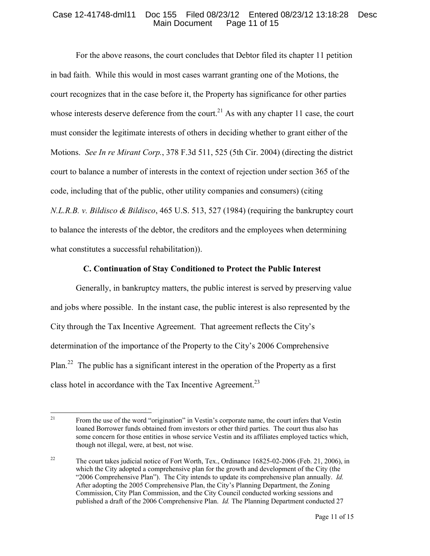For the above reasons, the court concludes that Debtor filed its chapter 11 petition in bad faith. While this would in most cases warrant granting one of the Motions, the court recognizes that in the case before it, the Property has significance for other parties whose interests deserve deference from the court.<sup>[21](#page-10-0)</sup> As with any chapter 11 case, the court must consider the legitimate interests of others in deciding whether to grant either of the Motions. *See In re Mirant Corp.*, 378 F.3d 511, 525 (5th Cir. 2004) (directing the district court to balance a number of interests in the context of rejection under section 365 of the code, including that of the public, other utility companies and consumers) (citing *N.L.R.B. v. Bildisco & Bildisco*, 465 U.S. 513, 527 (1984) (requiring the bankruptcy court to balance the interests of the debtor, the creditors and the employees when determining what constitutes a successful rehabilitation)).

### **C. Continuation of Stay Conditioned to Protect the Public Interest**

Generally, in bankruptcy matters, the public interest is served by preserving value and jobs where possible. In the instant case, the public interest is also represented by the City through the Tax Incentive Agreement. That agreement reflects the City's determination of the importance of the Property to the City's 2006 Comprehensive Plan.<sup>[22](#page-10-1)</sup> The public has a significant interest in the operation of the Property as a first class hotel in accordance with the Tax Incentive Agreement.<sup>[23](#page-10-2)</sup>

<span id="page-10-2"></span><span id="page-10-0"></span> $21$ <sup>21</sup> From the use of the word "origination" in Vestin's corporate name, the court infers that Vestin loaned Borrower funds obtained from investors or other third parties. The court thus also has some concern for those entities in whose service Vestin and its affiliates employed tactics which, though not illegal, were, at best, not wise.

<span id="page-10-1"></span><sup>&</sup>lt;sup>22</sup> The court takes judicial notice of Fort Worth, Tex., Ordinance 16825-02-2006 (Feb. 21, 2006), in which the City adopted a comprehensive plan for the growth and development of the City (the "2006 Comprehensive Plan"). The City intends to update its comprehensive plan annually. *Id.*  After adopting the 2005 Comprehensive Plan, the City's Planning Department, the Zoning Commission, City Plan Commission, and the City Council conducted working sessions and published a draft of the 2006 Comprehensive Plan. *Id.* The Planning Department conducted 27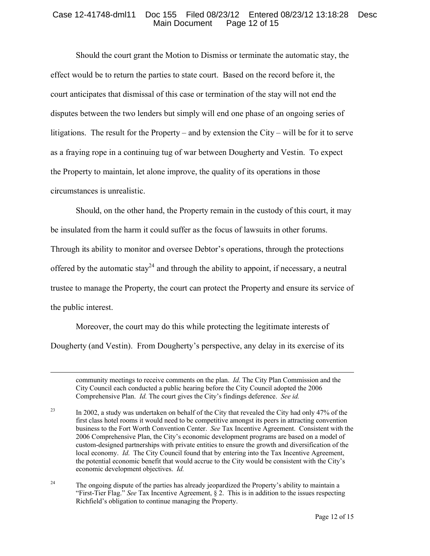Should the court grant the Motion to Dismiss or terminate the automatic stay, the effect would be to return the parties to state court. Based on the record before it, the court anticipates that dismissal of this case or termination of the stay will not end the disputes between the two lenders but simply will end one phase of an ongoing series of litigations. The result for the Property – and by extension the City – will be for it to serve as a fraying rope in a continuing tug of war between Dougherty and Vestin. To expect the Property to maintain, let alone improve, the quality of its operations in those circumstances is unrealistic.

Should, on the other hand, the Property remain in the custody of this court, it may

be insulated from the harm it could suffer as the focus of lawsuits in other forums.

Through its ability to monitor and oversee Debtor's operations, through the protections

offered by the automatic stay<sup>[24](#page-11-0)</sup> and through the ability to appoint, if necessary, a neutral

trustee to manage the Property, the court can protect the Property and ensure its service of the public interest.

Moreover, the court may do this while protecting the legitimate interests of Dougherty (and Vestin). From Dougherty's perspective, any delay in its exercise of its

 $\overline{a}$ 

community meetings to receive comments on the plan. *Id.* The City Plan Commission and the City Council each conducted a public hearing before the City Council adopted the 2006 Comprehensive Plan. *Id.* The court gives the City's findings deference. *See id.*

<sup>23</sup> In 2002, a study was undertaken on behalf of the City that revealed the City had only 47% of the first class hotel rooms it would need to be competitive amongst its peers in attracting convention business to the Fort Worth Convention Center. *See* Tax Incentive Agreement. Consistent with the 2006 Comprehensive Plan, the City's economic development programs are based on a model of custom-designed partnerships with private entities to ensure the growth and diversification of the local economy. *Id.* The City Council found that by entering into the Tax Incentive Agreement, the potential economic benefit that would accrue to the City would be consistent with the City's economic development objectives. *Id.*

<span id="page-11-0"></span><sup>24</sup> The ongoing dispute of the parties has already jeopardized the Property's ability to maintain a "First-Tier Flag." *See* Tax Incentive Agreement, § 2. This is in addition to the issues respecting Richfield's obligation to continue managing the Property.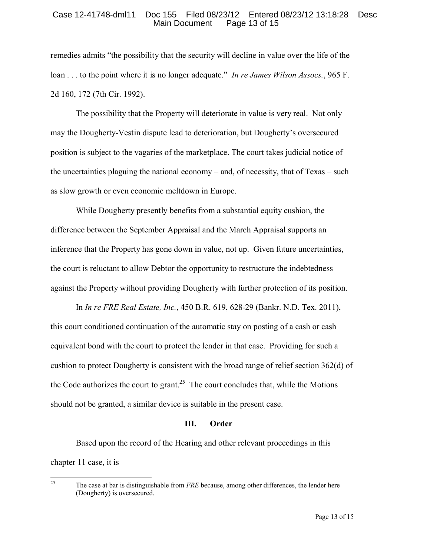remedies admits "the possibility that the security will decline in value over the life of the loan . . . to the point where it is no longer adequate." *In re James Wilson Assocs.*, 965 F. 2d 160, 172 (7th Cir. 1992).

The possibility that the Property will deteriorate in value is very real. Not only may the Dougherty-Vestin dispute lead to deterioration, but Dougherty's oversecured position is subject to the vagaries of the marketplace. The court takes judicial notice of the uncertainties plaguing the national economy – and, of necessity, that of Texas – such as slow growth or even economic meltdown in Europe.

While Dougherty presently benefits from a substantial equity cushion, the difference between the September Appraisal and the March Appraisal supports an inference that the Property has gone down in value, not up. Given future uncertainties, the court is reluctant to allow Debtor the opportunity to restructure the indebtedness against the Property without providing Dougherty with further protection of its position.

In *In re FRE Real Estate, Inc.*, 450 B.R. 619, 628-29 (Bankr. N.D. Tex. 2011), this court conditioned continuation of the automatic stay on posting of a cash or cash equivalent bond with the court to protect the lender in that case. Providing for such a cushion to protect Dougherty is consistent with the broad range of relief section 362(d) of the Code authorizes the court to grant.<sup>[25](#page-12-0)</sup> The court concludes that, while the Motions should not be granted, a similar device is suitable in the present case.

### **III. Order**

Based upon the record of the Hearing and other relevant proceedings in this chapter 11 case, it is

<span id="page-12-0"></span>25 <sup>25</sup> The case at bar is distinguishable from *FRE* because, among other differences, the lender here (Dougherty) is oversecured.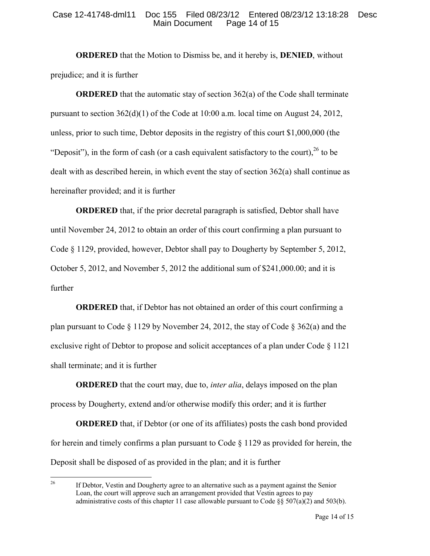**ORDERED** that the Motion to Dismiss be, and it hereby is, **DENIED**, without prejudice; and it is further

**ORDERED** that the automatic stay of section 362(a) of the Code shall terminate pursuant to section  $362(d)(1)$  of the Code at 10:00 a.m. local time on August 24, 2012, unless, prior to such time, Debtor deposits in the registry of this court \$1,000,000 (the "Deposit"), in the form of cash (or a cash equivalent satisfactory to the court),  $^{26}$  $^{26}$  $^{26}$  to be dealt with as described herein, in which event the stay of section 362(a) shall continue as hereinafter provided; and it is further

**ORDERED** that, if the prior decretal paragraph is satisfied, Debtor shall have until November 24, 2012 to obtain an order of this court confirming a plan pursuant to Code § 1129, provided, however, Debtor shall pay to Dougherty by September 5, 2012, October 5, 2012, and November 5, 2012 the additional sum of \$241,000.00; and it is further

**ORDERED** that, if Debtor has not obtained an order of this court confirming a plan pursuant to Code § 1129 by November 24, 2012, the stay of Code § 362(a) and the exclusive right of Debtor to propose and solicit acceptances of a plan under Code § 1121 shall terminate; and it is further

**ORDERED** that the court may, due to, *inter alia*, delays imposed on the plan process by Dougherty, extend and/or otherwise modify this order; and it is further

**ORDERED** that, if Debtor (or one of its affiliates) posts the cash bond provided for herein and timely confirms a plan pursuant to Code  $\S$  1129 as provided for herein, the Deposit shall be disposed of as provided in the plan; and it is further

<span id="page-13-0"></span> $26\,$ <sup>26</sup> If Debtor, Vestin and Dougherty agree to an alternative such as a payment against the Senior Loan, the court will approve such an arrangement provided that Vestin agrees to pay administrative costs of this chapter 11 case allowable pursuant to Code  $\frac{1}{2}$  (307(a)(2) and 503(b).